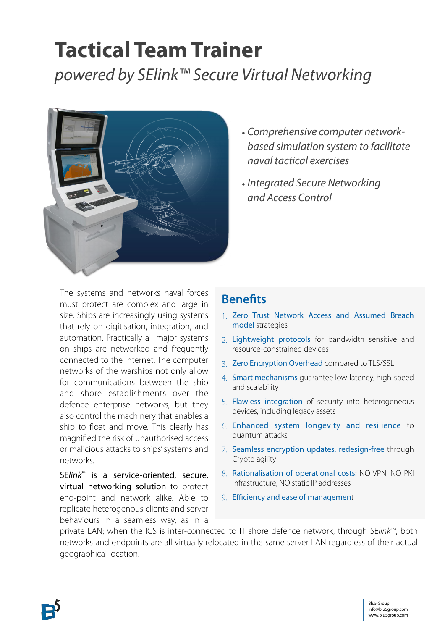## **Tactical Team Trainer**  *powered by SElink™ Secure Virtual Networking*



- *• Comprehensive computer networkbased simulation system to facilitate naval tactical exercises*
- *• Integrated Secure Networking and Access Control*

The systems and networks naval forces must protect are complex and large in size. Ships are increasingly using systems that rely on digitisation, integration, and automation. Practically all major systems on ships are networked and frequently connected to the internet. The computer networks of the warships not only allow for communications between the ship and shore establishments over the defence enterprise networks, but they also control the machinery that enables a ship to float and move. This clearly has magnified the risk of unauthorised access or malicious attacks to ships' systems and networks.

SE*link*™ is a service-oriented, secure, virtual networking solution to protect end-point and network alike. Able to replicate heterogenous clients and server behaviours in a seamless way, as in a

### **Benefits**

- 1. Zero Trust Network Access and Assumed Breach model strategies
- 2. Lightweight protocols for bandwidth sensitive and resource-constrained devices
- 3. Zero Encryption Overhead compared to TLS/SSL
- 4. Smart mechanisms guarantee low-latency, high-speed and scalability
- 5. Flawless integration of security into heterogeneous devices, including legacy assets
- 6. Enhanced system longevity and resilience to quantum attacks
- 7. Seamless encryption updates, redesign-free through Crypto agility
- 8. Rationalisation of operational costs: NO VPN, NO PKI infrastructure, NO static IP addresses
- 9. Efficiency and ease of management

private LAN; when the ICS is inter-connected to IT shore defence network, through SE*link*™, both networks and endpoints are all virtually relocated in the same server LAN regardless of their actual geographical location.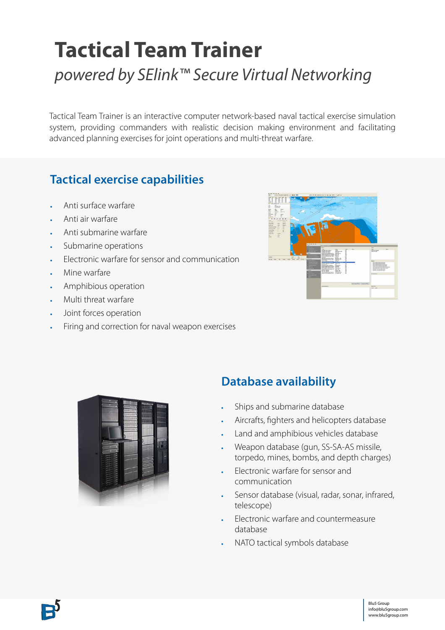# **Tactical Team Trainer**  *powered by SElink™ Secure Virtual Networking*

Tactical Team Trainer is an interactive computer network-based naval tactical exercise simulation system, providing commanders with realistic decision making environment and facilitating advanced planning exercises for joint operations and multi-threat warfare.

## **Tactical exercise capabilities**

- Anti surface warfare
- Anti air warfare
- Anti submarine warfare
- Submarine operations
- Electronic warfare for sensor and communication
- Mine warfare
- Amphibious operation
- Multi threat warfare
- Joint forces operation
- Firing and correction for naval weapon exercises





## **Database availability**

- Ships and submarine database
- Aircrafts, fighters and helicopters database
- Land and amphibious vehicles database
- Weapon database (gun, SS-SA-AS missile, torpedo, mines, bombs, and depth charges)
- Electronic warfare for sensor and communication
- Sensor database (visual, radar, sonar, infrared, telescope)
- Electronic warfare and countermeasure database
- NATO tactical symbols database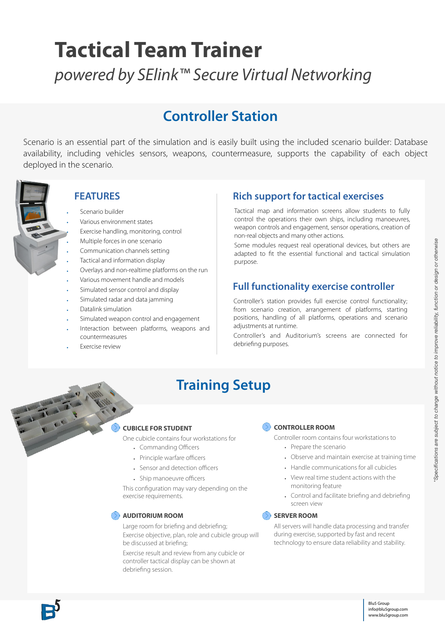# **Tactical Team Trainer**

*powered by SElink™ Secure Virtual Networking*

## **Controller Station**

Scenario is an essential part of the simulation and is easily built using the included scenario builder: Database availability, including vehicles sensors, weapons, countermeasure, supports the capability of each object deployed in the scenario.



#### **FEATURES**

- Scenario builder
- Various environment states
- Exercise handling, monitoring, control
- Multiple forces in one scenario
- Communication channels setting
- Tactical and information display
- Overlays and non-realtime platforms on the run
- Various movement handle and models
- Simulated sensor control and display
- Simulated radar and data jamming
- Datalink simulation
- Simulated weapon control and engagement
- Interaction between platforms, weapons and countermeasures
- **Exercise review**

#### **Rich support for tactical exercises**

Tactical map and information screens allow students to fully control the operations their own ships, including manoeuvres, weapon controls and engagement, sensor operations, creation of non-real objects and many other actions.

Some modules request real operational devices, but others are adapted to fit the essential functional and tactical simulation purpose.

#### **Full functionality exercise controller**

Controller's station provides full exercise control functionality; from scenario creation, arrangement of platforms, starting positions, handling of all platforms, operations and scenario adjustments at runtime.

Controller's and Auditorium's screens are connected for debriefing purposes.

## **Training Setup**

#### **CUBICLE FOR STUDENT**

One cubicle contains four workstations for

- Commanding Officers
- Principle warfare officers
- Sensor and detection officers
- Ship manoeuvre officers

This configuration may vary depending on the exercise requirements.

#### **AUDITORIUM ROOM**

Large room for briefing and debriefing; Exercise objective, plan, role and cubicle group will be discussed at briefing;

Exercise result and review from any cubicle or controller tactical display can be shown at debriefing session.

#### **CONTROLLER ROOM**

Controller room contains four workstations to

- Prepare the scenario
- Observe and maintain exercise at training time
- Handle communications for all cubicles
- View real time student actions with the monitoring feature
- Control and facilitate briefing and debriefing screen view

#### **SERVER ROOM**

All servers will handle data processing and transfer during exercise, supported by fast and recent technology to ensure data reliability and stability.